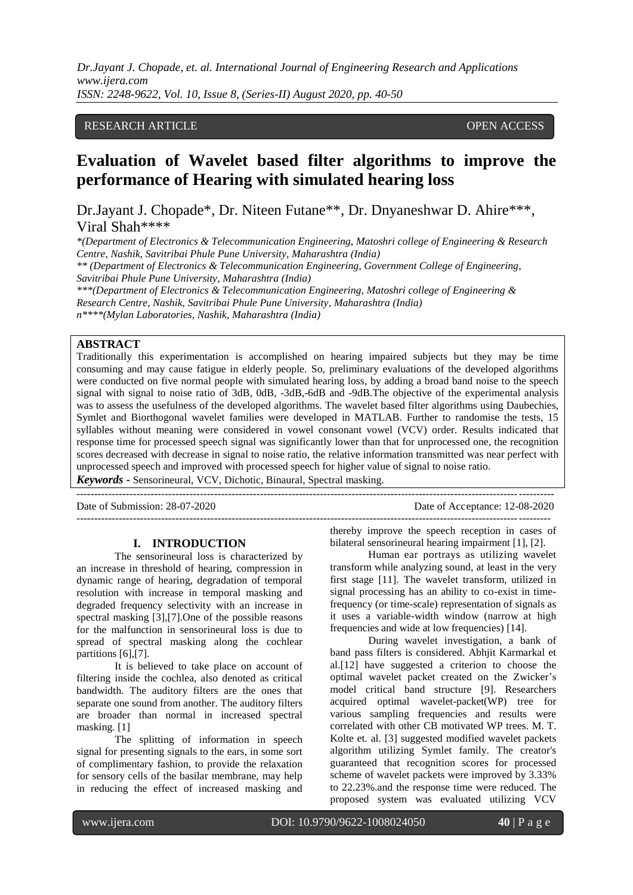*Dr.Jayant J. Chopade, et. al. International Journal of Engineering Research and Applications www.ijera.com ISSN: 2248-9622, Vol. 10, Issue 8, (Series-II) August 2020, pp. 40-50*

## RESEARCH ARTICLE **CONSERVERS** OPEN ACCESS

# **Evaluation of Wavelet based filter algorithms to improve the performance of Hearing with simulated hearing loss**

Dr.Jayant J. Chopade\*, Dr. Niteen Futane\*\*, Dr. Dnyaneshwar D. Ahire\*\*\*, Viral Shah\*\*\*\*

*\*(Department of Electronics & Telecommunication Engineering, Matoshri college of Engineering & Research Centre, Nashik, Savitribai Phule Pune University, Maharashtra (India) \*\* (Department of Electronics & Telecommunication Engineering, Government College of Engineering,* 

*Savitribai Phule Pune University, Maharashtra (India)*

*\*\*\*(Department of Electronics & Telecommunication Engineering, Matoshri college of Engineering & Research Centre, Nashik, Savitribai Phule Pune University, Maharashtra (India)*

*n\*\*\*\*(Mylan Laboratories, Nashik, Maharashtra (India)*

# **ABSTRACT**

Traditionally this experimentation is accomplished on hearing impaired subjects but they may be time consuming and may cause fatigue in elderly people. So, preliminary evaluations of the developed algorithms were conducted on five normal people with simulated hearing loss, by adding a broad band noise to the speech signal with signal to noise ratio of 3dB, 0dB, -3dB,-6dB and -9dB.The objective of the experimental analysis was to assess the usefulness of the developed algorithms. The wavelet based filter algorithms using Daubechies, Symlet and Biorthogonal wavelet families were developed in MATLAB. Further to randomise the tests, 15 syllables without meaning were considered in vowel consonant vowel (VCV) order. Results indicated that response time for processed speech signal was significantly lower than that for unprocessed one, the recognition scores decreased with decrease in signal to noise ratio, the relative information transmitted was near perfect with unprocessed speech and improved with processed speech for higher value of signal to noise ratio.

---------------------------------------------------------------------------------------------------------------------------------------

--------------------------------------------------------------------------------------------------------------------------------------

*Keywords* **-** Sensorineural, VCV, Dichotic, Binaural, Spectral masking.

Date of Submission: 28-07-2020 Date of Acceptance: 12-08-2020

#### **I. INTRODUCTION**

The sensorineural loss is characterized by an increase in threshold of hearing, compression in dynamic range of hearing, degradation of temporal resolution with increase in temporal masking and degraded frequency selectivity with an increase in spectral masking [3],[7].One of the possible reasons for the malfunction in sensorineural loss is due to spread of spectral masking along the cochlear partitions [6],[7].

It is believed to take place on account of filtering inside the cochlea, also denoted as critical bandwidth. The auditory filters are the ones that separate one sound from another. The auditory filters are broader than normal in increased spectral masking. [1]

The splitting of information in speech signal for presenting signals to the ears, in some sort of complimentary fashion, to provide the relaxation for sensory cells of the basilar membrane, may help in reducing the effect of increased masking and

thereby improve the speech reception in cases of bilateral sensorineural hearing impairment [1], [2].

Human ear portrays as utilizing wavelet transform while analyzing sound, at least in the very first stage [11]. The wavelet transform, utilized in signal processing has an ability to co-exist in timefrequency (or time-scale) representation of signals as it uses a variable-width window (narrow at high frequencies and wide at low frequencies) [14].

During wavelet investigation, a bank of band pass filters is considered. Abhjit Karmarkal et al.[12] have suggested a criterion to choose the optimal wavelet packet created on the Zwicker's model critical band structure [9]. Researchers acquired optimal wavelet-packet(WP) tree for various sampling frequencies and results were correlated with other CB motivated WP trees. M. T. Kolte et. al. [3] suggested modified wavelet packets algorithm utilizing Symlet family. The creator's guaranteed that recognition scores for processed scheme of wavelet packets were improved by 3.33% to 22.23%.and the response time were reduced. The proposed system was evaluated utilizing VCV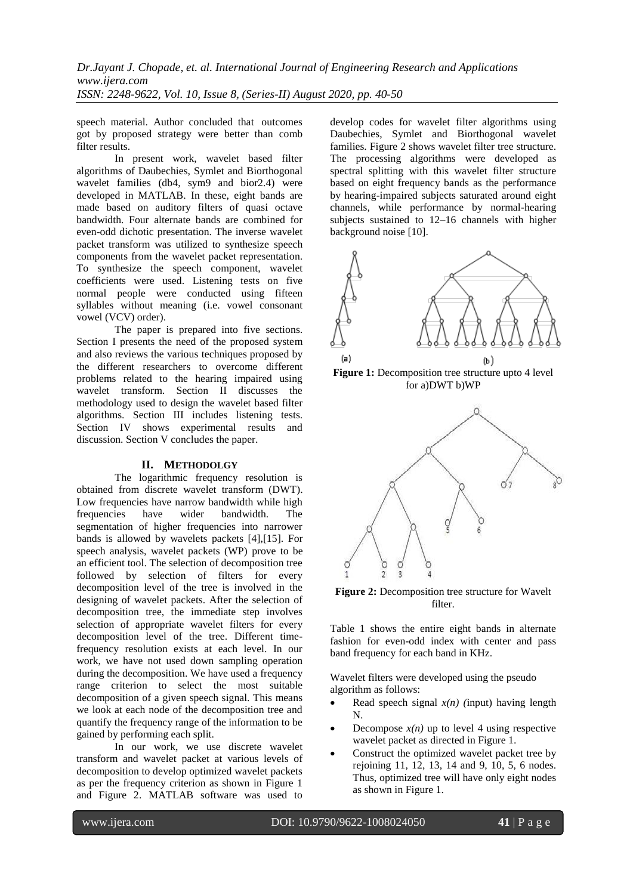*Dr.Jayant J. Chopade, et. al. International Journal of Engineering Research and Applications www.ijera.com ISSN: 2248-9622, Vol. 10, Issue 8, (Series-II) August 2020, pp. 40-50*

speech material. Author concluded that outcomes got by proposed strategy were better than comb filter results.

In present work, wavelet based filter algorithms of Daubechies, Symlet and Biorthogonal wavelet families (db4, sym9 and bior2.4) were developed in MATLAB. In these, eight bands are made based on auditory filters of quasi octave bandwidth. Four alternate bands are combined for even-odd dichotic presentation. The inverse wavelet packet transform was utilized to synthesize speech components from the wavelet packet representation. To synthesize the speech component, wavelet coefficients were used. Listening tests on five normal people were conducted using fifteen syllables without meaning (i.e. vowel consonant vowel (VCV) order).

The paper is prepared into five sections. Section I presents the need of the proposed system and also reviews the various techniques proposed by the different researchers to overcome different problems related to the hearing impaired using wavelet transform. Section II discusses the methodology used to design the wavelet based filter algorithms. Section III includes listening tests. Section IV shows experimental results and discussion. Section V concludes the paper.

## **II. METHODOLGY**

The logarithmic frequency resolution is obtained from discrete wavelet transform (DWT). Low frequencies have narrow bandwidth while high frequencies have wider bandwidth. The segmentation of higher frequencies into narrower bands is allowed by wavelets packets [4],[15]. For speech analysis, wavelet packets (WP) prove to be an efficient tool. The selection of decomposition tree followed by selection of filters for every decomposition level of the tree is involved in the designing of wavelet packets. After the selection of decomposition tree, the immediate step involves selection of appropriate wavelet filters for every decomposition level of the tree. Different timefrequency resolution exists at each level. In our work, we have not used down sampling operation during the decomposition. We have used a frequency range criterion to select the most suitable decomposition of a given speech signal. This means we look at each node of the decomposition tree and quantify the frequency range of the information to be gained by performing each split.

In our work, we use discrete wavelet transform and wavelet packet at various levels of decomposition to develop optimized wavelet packets as per the frequency criterion as shown in Figure 1 and Figure 2. MATLAB software was used to

develop codes for wavelet filter algorithms using Daubechies, Symlet and Biorthogonal wavelet families. Figure 2 shows wavelet filter tree structure. The processing algorithms were developed as spectral splitting with this wavelet filter structure based on eight frequency bands as the performance by hearing-impaired subjects saturated around eight channels, while performance by normal-hearing subjects sustained to 12–16 channels with higher background noise [10].



**Figure 1:** Decomposition tree structure upto 4 level for a)DWT b)WP



**Figure 2:** Decomposition tree structure for Wavelt filter.

Table 1 shows the entire eight bands in alternate fashion for even-odd index with center and pass band frequency for each band in KHz.

Wavelet filters were developed using the pseudo algorithm as follows:

- Read speech signal  $x(n)$  (input) having length N.
- Decompose  $x(n)$  up to level 4 using respective wavelet packet as directed in Figure 1.
- Construct the optimized wavelet packet tree by rejoining 11, 12, 13, 14 and 9, 10, 5, 6 nodes. Thus, optimized tree will have only eight nodes as shown in Figure 1.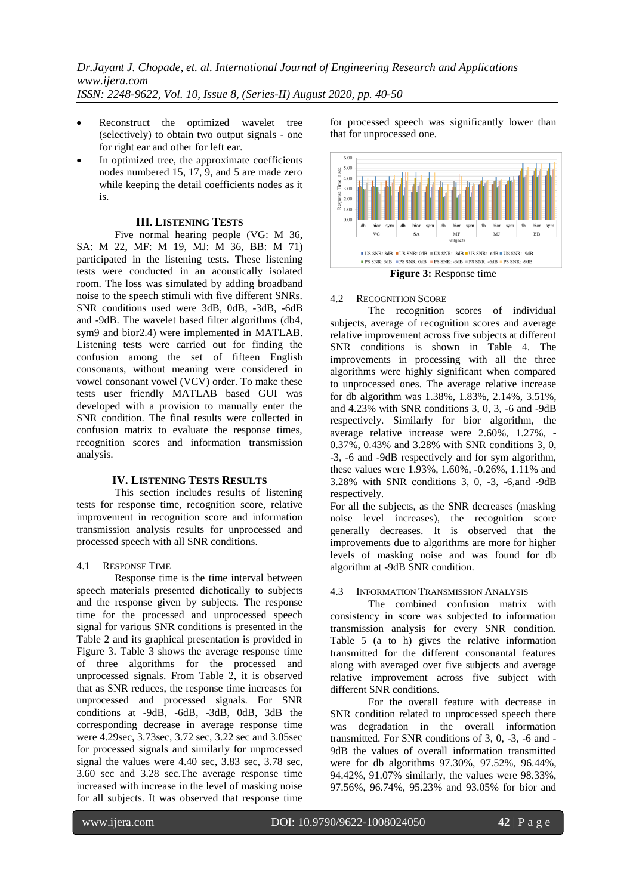- Reconstruct the optimized wavelet tree (selectively) to obtain two output signals - one for right ear and other for left ear.
- In optimized tree, the approximate coefficients nodes numbered 15, 17, 9, and 5 are made zero while keeping the detail coefficients nodes as it is.

## **III. LISTENING TESTS**

Five normal hearing people (VG: M 36, SA: M 22, MF: M 19, MJ: M 36, BB: M 71) participated in the listening tests. These listening tests were conducted in an acoustically isolated room. The loss was simulated by adding broadband noise to the speech stimuli with five different SNRs. SNR conditions used were 3dB, 0dB, -3dB, -6dB and -9dB. The wavelet based filter algorithms (db4, sym9 and bior2.4) were implemented in MATLAB. Listening tests were carried out for finding the confusion among the set of fifteen English consonants, without meaning were considered in vowel consonant vowel (VCV) order. To make these tests user friendly MATLAB based GUI was developed with a provision to manually enter the SNR condition. The final results were collected in confusion matrix to evaluate the response times, recognition scores and information transmission analysis.

## **IV. LISTENING TESTS RESULTS**

This section includes results of listening tests for response time, recognition score, relative improvement in recognition score and information transmission analysis results for unprocessed and processed speech with all SNR conditions.

#### 4.1 RESPONSE TIME

Response time is the time interval between speech materials presented dichotically to subjects and the response given by subjects. The response time for the processed and unprocessed speech signal for various SNR conditions is presented in the Table 2 and its graphical presentation is provided in Figure 3. Table 3 shows the average response time of three algorithms for the processed and unprocessed signals. From Table 2, it is observed that as SNR reduces, the response time increases for unprocessed and processed signals. For SNR conditions at -9dB, -6dB, -3dB, 0dB, 3dB the corresponding decrease in average response time were 4.29sec, 3.73sec, 3.72 sec, 3.22 sec and 3.05sec for processed signals and similarly for unprocessed signal the values were 4.40 sec, 3.83 sec, 3.78 sec, 3.60 sec and 3.28 sec.The average response time increased with increase in the level of masking noise for all subjects. It was observed that response time

for processed speech was significantly lower than that for unprocessed one.



**Figure 3:** Response time

## 4.2 RECOGNITION SCORE

The recognition scores of individual subjects, average of recognition scores and average relative improvement across five subjects at different SNR conditions is shown in Table 4. The improvements in processing with all the three algorithms were highly significant when compared to unprocessed ones. The average relative increase for db algorithm was 1.38%, 1.83%, 2.14%, 3.51%, and 4.23% with SNR conditions 3, 0, 3, -6 and -9dB respectively. Similarly for bior algorithm, the average relative increase were 2.60%, 1.27%, - 0.37%, 0.43% and 3.28% with SNR conditions 3, 0, -3, -6 and -9dB respectively and for sym algorithm, these values were 1.93%, 1.60%, -0.26%, 1.11% and 3.28% with SNR conditions 3, 0, -3, -6,and -9dB respectively.

For all the subjects, as the SNR decreases (masking noise level increases), the recognition score generally decreases. It is observed that the improvements due to algorithms are more for higher levels of masking noise and was found for db algorithm at -9dB SNR condition.

## 4.3 INFORMATION TRANSMISSION ANALYSIS

The combined confusion matrix with consistency in score was subjected to information transmission analysis for every SNR condition. Table 5 (a to h) gives the relative information transmitted for the different consonantal features along with averaged over five subjects and average relative improvement across five subject with different SNR conditions.

For the overall feature with decrease in SNR condition related to unprocessed speech there was degradation in the overall information transmitted. For SNR conditions of 3, 0, -3, -6 and - 9dB the values of overall information transmitted were for db algorithms 97.30%, 97.52%, 96.44%, 94.42%, 91.07% similarly, the values were 98.33%, 97.56%, 96.74%, 95.23% and 93.05% for bior and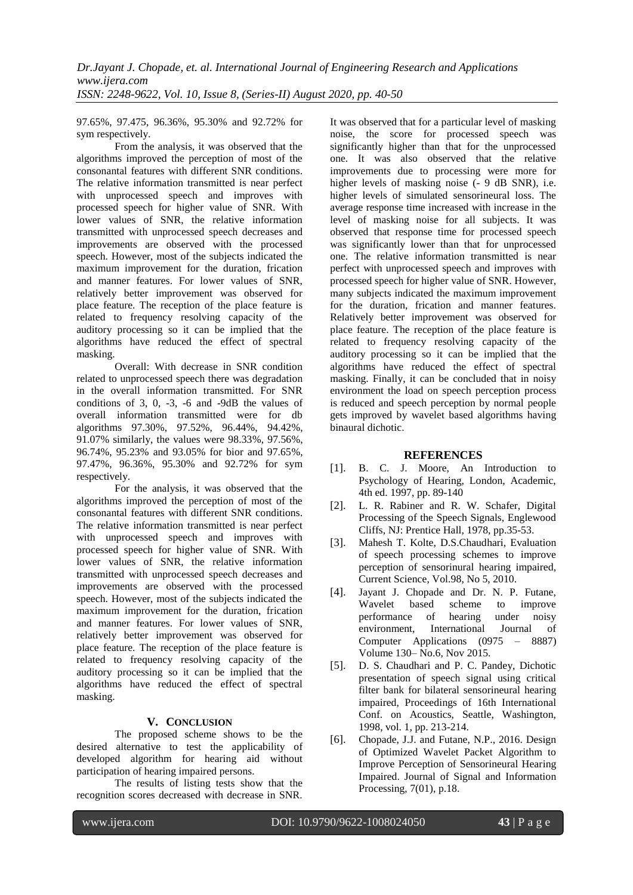97.65%, 97.475, 96.36%, 95.30% and 92.72% for sym respectively.

From the analysis, it was observed that the algorithms improved the perception of most of the consonantal features with different SNR conditions. The relative information transmitted is near perfect with unprocessed speech and improves with processed speech for higher value of SNR. With lower values of SNR, the relative information transmitted with unprocessed speech decreases and improvements are observed with the processed speech. However, most of the subjects indicated the maximum improvement for the duration, frication and manner features. For lower values of SNR, relatively better improvement was observed for place feature. The reception of the place feature is related to frequency resolving capacity of the auditory processing so it can be implied that the algorithms have reduced the effect of spectral masking.

Overall: With decrease in SNR condition related to unprocessed speech there was degradation in the overall information transmitted. For SNR conditions of 3, 0, -3, -6 and -9dB the values of overall information transmitted were for db algorithms 97.30%, 97.52%, 96.44%, 94.42%, 91.07% similarly, the values were 98.33%, 97.56%, 96.74%, 95.23% and 93.05% for bior and 97.65%, 97.47%, 96.36%, 95.30% and 92.72% for sym respectively.

For the analysis, it was observed that the algorithms improved the perception of most of the consonantal features with different SNR conditions. The relative information transmitted is near perfect with unprocessed speech and improves with processed speech for higher value of SNR. With lower values of SNR, the relative information transmitted with unprocessed speech decreases and improvements are observed with the processed speech. However, most of the subjects indicated the maximum improvement for the duration, frication and manner features. For lower values of SNR, relatively better improvement was observed for place feature. The reception of the place feature is related to frequency resolving capacity of the auditory processing so it can be implied that the algorithms have reduced the effect of spectral masking.

# **V. CONCLUSION**

The proposed scheme shows to be the desired alternative to test the applicability of developed algorithm for hearing aid without participation of hearing impaired persons.

The results of listing tests show that the recognition scores decreased with decrease in SNR.

It was observed that for a particular level of masking noise, the score for processed speech was significantly higher than that for the unprocessed one. It was also observed that the relative improvements due to processing were more for higher levels of masking noise (- 9 dB SNR), i.e. higher levels of simulated sensorineural loss. The average response time increased with increase in the level of masking noise for all subjects. It was observed that response time for processed speech was significantly lower than that for unprocessed one. The relative information transmitted is near perfect with unprocessed speech and improves with processed speech for higher value of SNR. However, many subjects indicated the maximum improvement for the duration, frication and manner features. Relatively better improvement was observed for place feature. The reception of the place feature is related to frequency resolving capacity of the auditory processing so it can be implied that the algorithms have reduced the effect of spectral masking. Finally, it can be concluded that in noisy environment the load on speech perception process is reduced and speech perception by normal people gets improved by wavelet based algorithms having binaural dichotic.

# **REFERENCES**

- [1]. B. C. J. Moore, An Introduction to Psychology of Hearing, London, Academic, 4th ed. 1997, pp. 89-140
- [2]. L. R. Rabiner and R. W. Schafer, Digital Processing of the Speech Signals, Englewood Cliffs, NJ: Prentice Hall, 1978, pp.35-53.
- [3]. Mahesh T. Kolte, D.S.Chaudhari, Evaluation of speech processing schemes to improve perception of sensorinural hearing impaired, Current Science, Vol.98, No 5, 2010.
- [4]. Jayant J. Chopade and Dr. N. P. Futane, Wavelet based scheme to improve performance of hearing under noisy environment, International Journal of Computer Applications (0975 – 8887) Volume 130– No.6, Nov 2015.
- [5]. D. S. Chaudhari and P. C. Pandey, Dichotic presentation of speech signal using critical filter bank for bilateral sensorineural hearing impaired, Proceedings of 16th International Conf. on Acoustics, Seattle, Washington, 1998, vol. 1, pp. 213-214.
- [6]. Chopade, J.J. and Futane, N.P., 2016. Design of Optimized Wavelet Packet Algorithm to Improve Perception of Sensorineural Hearing Impaired. Journal of Signal and Information Processing, 7(01), p.18.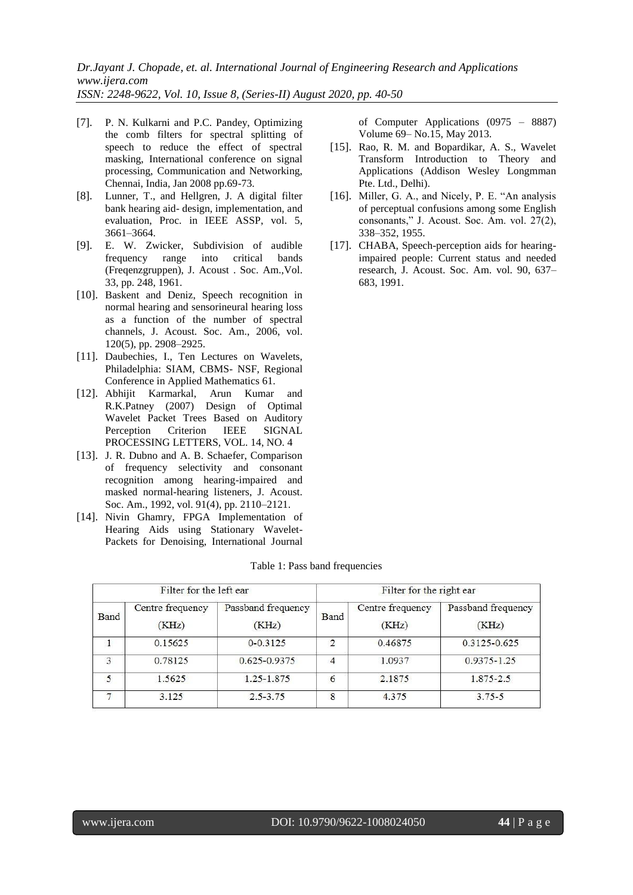*Dr.Jayant J. Chopade, et. al. International Journal of Engineering Research and Applications www.ijera.com ISSN: 2248-9622, Vol. 10, Issue 8, (Series-II) August 2020, pp. 40-50*

- [7]. P. N. Kulkarni and P.C. Pandey, Optimizing the comb filters for spectral splitting of speech to reduce the effect of spectral masking, International conference on signal processing, Communication and Networking, Chennai, India, Jan 2008 pp.69-73.
- [8]. Lunner, T., and Hellgren, J. A digital filter bank hearing aid- design, implementation, and evaluation, Proc. in IEEE ASSP, vol. 5, 3661–3664.
- [9]. E. W. Zwicker, Subdivision of audible frequency range into critical bands (Freqenzgruppen), J. Acoust . Soc. Am.,Vol. 33, pp. 248, 1961.
- [10]. Baskent and Deniz, Speech recognition in normal hearing and sensorineural hearing loss as a function of the number of spectral channels, J. Acoust. Soc. Am., 2006, vol. 120(5), pp. 2908–2925.
- [11]. Daubechies, I., Ten Lectures on Wavelets, Philadelphia: SIAM, CBMS- NSF, Regional Conference in Applied Mathematics 61.
- [12]. Abhijit Karmarkal, Arun Kumar and R.K.Patney (2007) Design of Optimal Wavelet Packet Trees Based on Auditory Perception Criterion IEEE SIGNAL PROCESSING LETTERS, VOL. 14, NO. 4
- [13]. J. R. Dubno and A. B. Schaefer, Comparison of frequency selectivity and consonant recognition among hearing-impaired and masked normal-hearing listeners, J. Acoust. Soc. Am., 1992, vol. 91(4), pp. 2110–2121.
- [14]. Nivin Ghamry, FPGA Implementation of Hearing Aids using Stationary Wavelet-Packets for Denoising, International Journal

of Computer Applications (0975 – 8887) Volume 69– No.15, May 2013.

- [15]. Rao, R. M. and Bopardikar, A. S., Wavelet Transform Introduction to Theory and Applications (Addison Wesley Longmman Pte. Ltd., Delhi).
- [16]. Miller, G. A., and Nicely, P. E. "An analysis of perceptual confusions among some English consonants," J. Acoust. Soc. Am. vol. 27(2), 338–352, 1955.
- [17]. CHABA, Speech-perception aids for hearingimpaired people: Current status and needed research, J. Acoust. Soc. Am. vol. 90, 637– 683, 1991.

|  |  | Table 1: Pass band frequencies |  |
|--|--|--------------------------------|--|
|--|--|--------------------------------|--|

|             | Filter for the left ear   |                             |      | Filter for the right ear  |                             |
|-------------|---------------------------|-----------------------------|------|---------------------------|-----------------------------|
| <b>Band</b> | Centre frequency<br>(KHz) | Passband frequency<br>(KHz) | Band | Centre frequency<br>(KHz) | Passband frequency<br>(KHz) |
|             | 0.15625                   | $0 - 0.3125$                | 2    | 0.46875                   | $0.3125 - 0.625$            |
| 3           | 0.78125                   | 0.625-0.9375                | 4    | 1.0937                    | $0.9375 - 1.25$             |
| 5           | 1.5625                    | 1.25-1.875                  | 6    | 2.1875                    | $1.875 - 2.5$               |
|             | 3.125                     | $2.5 - 3.75$                | 8    | 4.375                     | $3.75 - 5$                  |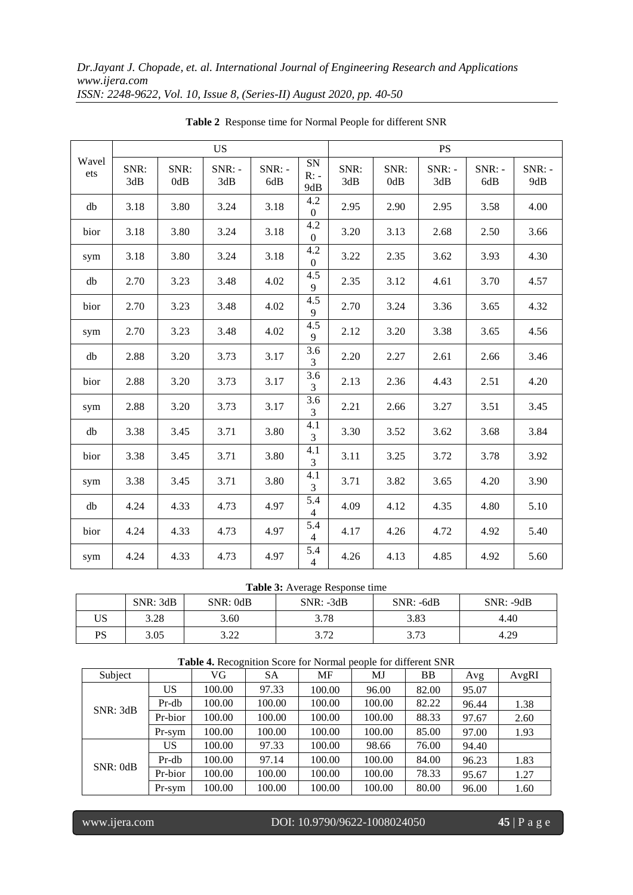|              |             |             | <b>US</b>       |                 |                            | <b>PS</b>   |             |                 |                 |                 |  |
|--------------|-------------|-------------|-----------------|-----------------|----------------------------|-------------|-------------|-----------------|-----------------|-----------------|--|
| Wavel<br>ets | SNR:<br>3dB | SNR:<br>0dB | $SNR: -$<br>3dB | $SNR: -$<br>6dB | <b>SN</b><br>$R: -$<br>9dB | SNR:<br>3dB | SNR:<br>0dB | $SNR: -$<br>3dB | $SNR: -$<br>6dB | $SNR: -$<br>9dB |  |
| db           | 3.18        | 3.80        | 3.24            | 3.18            | 4.2<br>$\Omega$            | 2.95        | 2.90        | 2.95            | 3.58            | 4.00            |  |
| bior         | 3.18        | 3.80        | 3.24            | 3.18            | 4.2<br>$\overline{0}$      | 3.20        | 3.13        | 2.68            | 2.50            | 3.66            |  |
| sym          | 3.18        | 3.80        | 3.24            | 3.18            | 4.2<br>$\theta$            | 3.22        | 2.35        | 3.62            | 3.93            | 4.30            |  |
| db           | 2.70        | 3.23        | 3.48            | 4.02            | 4.5<br>$\mathbf{Q}$        | 2.35        | 3.12        | 4.61            | 3.70            | 4.57            |  |
| bior         | 2.70        | 3.23        | 3.48            | 4.02            | 4.5<br>9                   | 2.70        | 3.24        | 3.36            | 3.65            | 4.32            |  |
| sym          | 2.70        | 3.23        | 3.48            | 4.02            | 4.5<br>9                   | 2.12        | 3.20        | 3.38            | 3.65            | 4.56            |  |
| db           | 2.88        | 3.20        | 3.73            | 3.17            | 3.6<br>3                   | 2.20        | 2.27        | 2.61            | 2.66            | 3.46            |  |
| bior         | 2.88        | 3.20        | 3.73            | 3.17            | 3.6<br>3                   | 2.13        | 2.36        | 4.43            | 2.51            | 4.20            |  |
| sym          | 2.88        | 3.20        | 3.73            | 3.17            | 3.6<br>3                   | 2.21        | 2.66        | 3.27            | 3.51            | 3.45            |  |
| db           | 3.38        | 3.45        | 3.71            | 3.80            | 4.1<br>3                   | 3.30        | 3.52        | 3.62            | 3.68            | 3.84            |  |
| bior         | 3.38        | 3.45        | 3.71            | 3.80            | 4.1<br>3                   | 3.11        | 3.25        | 3.72            | 3.78            | 3.92            |  |
| sym          | 3.38        | 3.45        | 3.71            | 3.80            | 4.1<br>3                   | 3.71        | 3.82        | 3.65            | 4.20            | 3.90            |  |
| db           | 4.24        | 4.33        | 4.73            | 4.97            | 5.4<br>$\overline{4}$      | 4.09        | 4.12        | 4.35            | 4.80            | 5.10            |  |
| bior         | 4.24        | 4.33        | 4.73            | 4.97            | 5.4<br>$\overline{4}$      | 4.17        | 4.26        | 4.72            | 4.92            | 5.40            |  |
| sym          | 4.24        | 4.33        | 4.73            | 4.97            | 5.4<br>$\overline{4}$      | 4.26        | 4.13        | 4.85            | 4.92            | 5.60            |  |

**Table 2** Response time for Normal People for different SNR

## **Table 3:** Average Response time

|    | SNR: 3dB | SNR: 0dB             | $SNR: -3dB$   | $SNR: -6dB$    | $SNR: -9dB$ |
|----|----------|----------------------|---------------|----------------|-------------|
| US | 3.28     | 3.60                 | 3.78          | 3.83           | 4.40        |
| PS | 3.05     | າ າາ<br>J. <i>ll</i> | 272<br>ے ہے ۔ | 272<br>ر ، ، ب | 4.29        |

|          | <b>Table 4.</b> Recognition Score for Normal people for different SNR |        |           |        |        |       |       |       |  |  |  |
|----------|-----------------------------------------------------------------------|--------|-----------|--------|--------|-------|-------|-------|--|--|--|
| Subject  |                                                                       | VG     | <b>SA</b> | MF     | MJ     | BB    | Avg   | AvgRI |  |  |  |
|          | US                                                                    | 100.00 | 97.33     | 100.00 | 96.00  | 82.00 | 95.07 |       |  |  |  |
| SNR: 3dB | Pr-db                                                                 | 100.00 | 100.00    | 100.00 | 100.00 | 82.22 | 96.44 | 1.38  |  |  |  |
|          | Pr-bior                                                               | 100.00 | 100.00    | 100.00 | 100.00 | 88.33 | 97.67 | 2.60  |  |  |  |
|          | Pr-sym                                                                | 100.00 | 100.00    | 100.00 | 100.00 | 85.00 | 97.00 | 1.93  |  |  |  |
|          | US                                                                    | 100.00 | 97.33     | 100.00 | 98.66  | 76.00 | 94.40 |       |  |  |  |
| SNR:0dB  | $Pr-db$                                                               | 100.00 | 97.14     | 100.00 | 100.00 | 84.00 | 96.23 | 1.83  |  |  |  |
|          | Pr-bior                                                               | 100.00 | 100.00    | 100.00 | 100.00 | 78.33 | 95.67 | 1.27  |  |  |  |
|          | Pr-sym                                                                | 100.00 | 100.00    | 100.00 | 100.00 | 80.00 | 96.00 | 1.60  |  |  |  |

I

www.ijera.com DOI: 10.9790/9622-1008024050 **45** | P a g e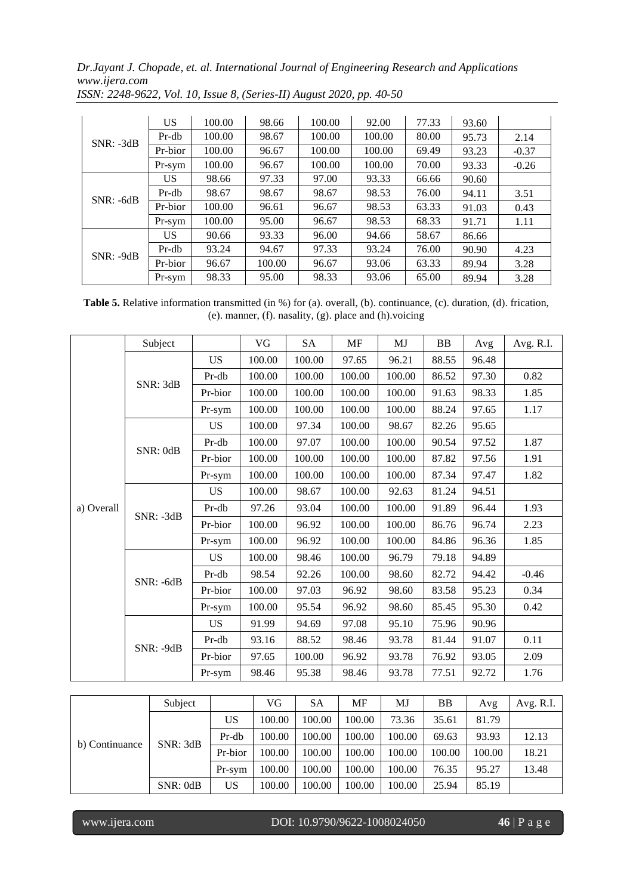|             | US      | 100.00 | 98.66  | 100.00 | 92.00  | 77.33 | 93.60 |         |
|-------------|---------|--------|--------|--------|--------|-------|-------|---------|
| $SNR: -3dB$ | Pr-db   | 100.00 | 98.67  | 100.00 | 100.00 | 80.00 | 95.73 | 2.14    |
|             | Pr-bior | 100.00 | 96.67  | 100.00 | 100.00 | 69.49 | 93.23 | $-0.37$ |
|             | Pr-sym  | 100.00 | 96.67  | 100.00 | 100.00 | 70.00 | 93.33 | $-0.26$ |
|             | US      | 98.66  | 97.33  | 97.00  | 93.33  | 66.66 | 90.60 |         |
| $SNR: -6dB$ | Pr-db   | 98.67  | 98.67  | 98.67  | 98.53  | 76.00 | 94.11 | 3.51    |
|             | Pr-bior | 100.00 | 96.61  | 96.67  | 98.53  | 63.33 | 91.03 | 0.43    |
|             | Pr-sym  | 100.00 | 95.00  | 96.67  | 98.53  | 68.33 | 91.71 | 1.11    |
|             | US      | 90.66  | 93.33  | 96.00  | 94.66  | 58.67 | 86.66 |         |
| $SNR: -9dB$ | Pr-db   | 93.24  | 94.67  | 97.33  | 93.24  | 76.00 | 90.90 | 4.23    |
|             | Pr-bior | 96.67  | 100.00 | 96.67  | 93.06  | 63.33 | 89.94 | 3.28    |
|             | Pr-sym  | 98.33  | 95.00  | 98.33  | 93.06  | 65.00 | 89.94 | 3.28    |

*ISSN: 2248-9622, Vol. 10, Issue 8, (Series-II) August 2020, pp. 40-50*

**Table 5.** Relative information transmitted (in %) for (a). overall, (b). continuance, (c). duration, (d). frication, (e). manner, (f). nasality, (g). place and (h).voicing

|            | Subject     |           | VG     | <b>SA</b> | MF     | MJ     | <b>BB</b> | Avg   | Avg. R.I. |
|------------|-------------|-----------|--------|-----------|--------|--------|-----------|-------|-----------|
|            |             | <b>US</b> | 100.00 | 100.00    | 97.65  | 96.21  | 88.55     | 96.48 |           |
|            | SNR: 3dB    | Pr-db     | 100.00 | 100.00    | 100.00 | 100.00 | 86.52     | 97.30 | 0.82      |
|            |             | Pr-bior   | 100.00 | 100.00    | 100.00 | 100.00 | 91.63     | 98.33 | 1.85      |
|            |             | Pr-sym    | 100.00 | 100.00    | 100.00 | 100.00 | 88.24     | 97.65 | 1.17      |
|            |             | <b>US</b> | 100.00 | 97.34     | 100.00 | 98.67  | 82.26     | 95.65 |           |
|            | SNR: 0dB    | Pr-db     | 100.00 | 97.07     | 100.00 | 100.00 | 90.54     | 97.52 | 1.87      |
|            |             | Pr-bior   | 100.00 | 100.00    | 100.00 | 100.00 | 87.82     | 97.56 | 1.91      |
|            |             | Pr-sym    | 100.00 | 100.00    | 100.00 | 100.00 | 87.34     | 97.47 | 1.82      |
|            |             | <b>US</b> | 100.00 | 98.67     | 100.00 | 92.63  | 81.24     | 94.51 |           |
| a) Overall | $SNR: -3dB$ | Pr-db     | 97.26  | 93.04     | 100.00 | 100.00 | 91.89     | 96.44 | 1.93      |
|            |             | Pr-bior   | 100.00 | 96.92     | 100.00 | 100.00 | 86.76     | 96.74 | 2.23      |
|            |             | Pr-sym    | 100.00 | 96.92     | 100.00 | 100.00 | 84.86     | 96.36 | 1.85      |
|            |             | <b>US</b> | 100.00 | 98.46     | 100.00 | 96.79  | 79.18     | 94.89 |           |
|            | $SNR: -6dB$ | Pr-db     | 98.54  | 92.26     | 100.00 | 98.60  | 82.72     | 94.42 | $-0.46$   |
|            |             | Pr-bior   | 100.00 | 97.03     | 96.92  | 98.60  | 83.58     | 95.23 | 0.34      |
|            |             | Pr-sym    | 100.00 | 95.54     | 96.92  | 98.60  | 85.45     | 95.30 | 0.42      |
|            |             | <b>US</b> | 91.99  | 94.69     | 97.08  | 95.10  | 75.96     | 90.96 |           |
|            | SNR: -9dB   | Pr-db     | 93.16  | 88.52     | 98.46  | 93.78  | 81.44     | 91.07 | 0.11      |
|            |             | Pr-bior   | 97.65  | 100.00    | 96.92  | 93.78  | 76.92     | 93.05 | 2.09      |
|            |             | Pr-sym    | 98.46  | 95.38     | 98.46  | 93.78  | 77.51     | 92.72 | 1.76      |

|                | Subject  |         | VG     | SА     | МF     | MJ     | BB     | Avg    | Avg. R.I. |
|----------------|----------|---------|--------|--------|--------|--------|--------|--------|-----------|
|                | SNR: 3dB | US      | 100.00 | 100.00 | 100.00 | 73.36  | 35.61  | 81.79  |           |
|                |          | Pr-db   | 100.00 | 100.00 | 100.00 | 100.00 | 69.63  | 93.93  | 12.13     |
| b) Continuance |          | Pr-bior | 100.00 | 100.00 | 100.00 | 100.00 | 100.00 | 100.00 | 18.21     |
|                |          | Pr-sym  | 100.00 | 100.00 | 100.00 | 100.00 | 76.35  | 95.27  | 13.48     |
|                | SNR:0dB  | US      | 100.00 | 100.00 | 100.00 | 100.00 | 25.94  | 85.19  |           |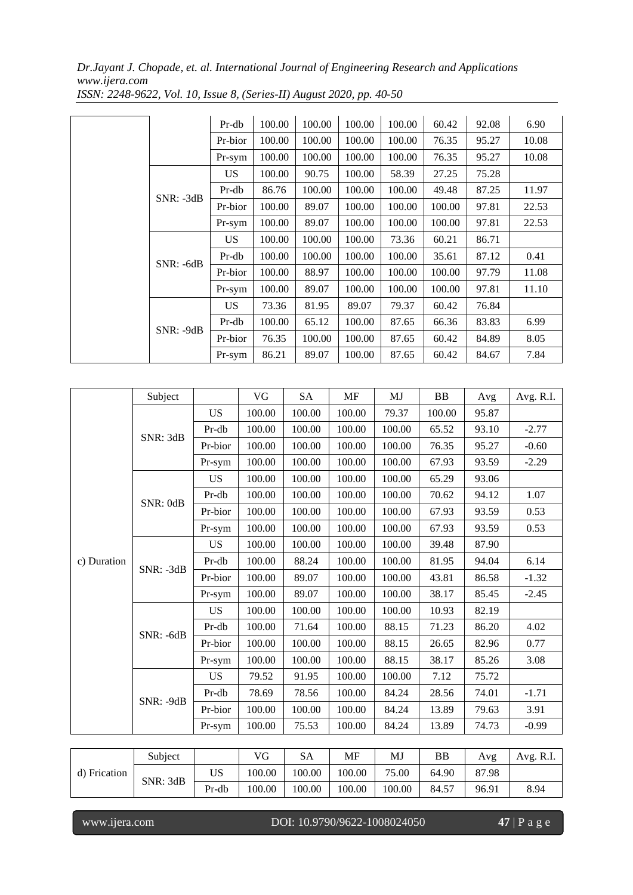|             | Pr-db     | 100.00 | 100.00 | 100.00 | 100.00 | 60.42  | 92.08 | 6.90  |
|-------------|-----------|--------|--------|--------|--------|--------|-------|-------|
|             | Pr-bior   | 100.00 | 100.00 | 100.00 | 100.00 | 76.35  | 95.27 | 10.08 |
|             | Pr-sym    | 100.00 | 100.00 | 100.00 | 100.00 | 76.35  | 95.27 | 10.08 |
|             | US.       | 100.00 | 90.75  | 100.00 | 58.39  | 27.25  | 75.28 |       |
| $SNR: -3dB$ | Pr-db     | 86.76  | 100.00 | 100.00 | 100.00 | 49.48  | 87.25 | 11.97 |
|             | Pr-bior   | 100.00 | 89.07  | 100.00 | 100.00 | 100.00 | 97.81 | 22.53 |
|             | Pr-sym    | 100.00 | 89.07  | 100.00 | 100.00 | 100.00 | 97.81 | 22.53 |
|             | <b>US</b> | 100.00 | 100.00 | 100.00 | 73.36  | 60.21  | 86.71 |       |
| $SNR: -6dB$ | Pr-db     | 100.00 | 100.00 | 100.00 | 100.00 | 35.61  | 87.12 | 0.41  |
|             | Pr-bior   | 100.00 | 88.97  | 100.00 | 100.00 | 100.00 | 97.79 | 11.08 |
|             | Pr-sym    | 100.00 | 89.07  | 100.00 | 100.00 | 100.00 | 97.81 | 11.10 |
|             | <b>US</b> | 73.36  | 81.95  | 89.07  | 79.37  | 60.42  | 76.84 |       |
| $SNR: -9dB$ | Pr-db     | 100.00 | 65.12  | 100.00 | 87.65  | 66.36  | 83.83 | 6.99  |
|             | Pr-bior   | 76.35  | 100.00 | 100.00 | 87.65  | 60.42  | 84.89 | 8.05  |
|             | Pr-sym    | 86.21  | 89.07  | 100.00 | 87.65  | 60.42  | 84.67 | 7.84  |

*ISSN: 2248-9622, Vol. 10, Issue 8, (Series-II) August 2020, pp. 40-50*

|              | Subject     |           | VG     | <b>SA</b> | <b>MF</b> | MJ         | ${\bf BB}$ | Avg   | Avg. R.I. |
|--------------|-------------|-----------|--------|-----------|-----------|------------|------------|-------|-----------|
|              |             | <b>US</b> | 100.00 | 100.00    | 100.00    | 79.37      | 100.00     | 95.87 |           |
|              | SNR: 3dB    | Pr-db     | 100.00 | 100.00    | 100.00    | 100.00     | 65.52      | 93.10 | $-2.77$   |
|              |             | Pr-bior   | 100.00 | 100.00    | 100.00    | 100.00     | 76.35      | 95.27 | $-0.60$   |
|              |             | Pr-sym    | 100.00 | 100.00    | 100.00    | 100.00     | 67.93      | 93.59 | $-2.29$   |
|              |             | <b>US</b> | 100.00 | 100.00    | 100.00    | 100.00     | 65.29      | 93.06 |           |
|              |             | $Pr-db$   | 100.00 | 100.00    | 100.00    | 100.00     | 70.62      | 94.12 | 1.07      |
|              | SNR: 0dB    | Pr-bior   | 100.00 | 100.00    | 100.00    | 100.00     | 67.93      | 93.59 | 0.53      |
|              |             | Pr-sym    | 100.00 | 100.00    | 100.00    | $100.00\,$ | 67.93      | 93.59 | 0.53      |
|              |             | <b>US</b> | 100.00 | 100.00    | 100.00    | 100.00     | 39.48      | 87.90 |           |
| c) Duration  |             | Pr-db     | 100.00 | 88.24     | 100.00    | 100.00     | 81.95      | 94.04 | 6.14      |
|              | $SNR: -3dB$ | Pr-bior   | 100.00 | 89.07     | 100.00    | 100.00     | 43.81      | 86.58 | $-1.32$   |
|              |             | Pr-sym    | 100.00 | 89.07     | 100.00    | 100.00     | 38.17      | 85.45 | $-2.45$   |
|              | $SNR: -6dB$ | <b>US</b> | 100.00 | 100.00    | 100.00    | 100.00     | 10.93      | 82.19 |           |
|              |             | Pr-db     | 100.00 | 71.64     | 100.00    | 88.15      | 71.23      | 86.20 | 4.02      |
|              |             | Pr-bior   | 100.00 | 100.00    | 100.00    | 88.15      | 26.65      | 82.96 | 0.77      |
|              |             | Pr-sym    | 100.00 | 100.00    | 100.00    | 88.15      | 38.17      | 85.26 | 3.08      |
|              |             | <b>US</b> | 79.52  | 91.95     | 100.00    | 100.00     | 7.12       | 75.72 |           |
|              | SNR: -9dB   | Pr-db     | 78.69  | 78.56     | 100.00    | 84.24      | 28.56      | 74.01 | $-1.71$   |
|              |             | Pr-bior   | 100.00 | 100.00    | 100.00    | 84.24      | 13.89      | 79.63 | 3.91      |
|              |             | Pr-sym    | 100.00 | 75.53     | 100.00    | 84.24      | 13.89      | 74.73 | $-0.99$   |
|              |             |           |        |           |           |            |            |       |           |
|              | Subject     |           | VG     | <b>SA</b> | <b>MF</b> | MJ         | <b>BB</b>  | Avg   | Avg. R.I. |
| d) Frication | SNR: 3dB    | <b>US</b> | 100.00 | 100.00    | 100.00    | 75.00      | 64.90      | 87.98 |           |
|              |             | Pr-db     | 100.00 | 100.00    | 100.00    | 100.00     | 84.57      | 96.91 | 8.94      |

I

www.ijera.com DOI: 10.9790/9622-1008024050 **47** | P a g e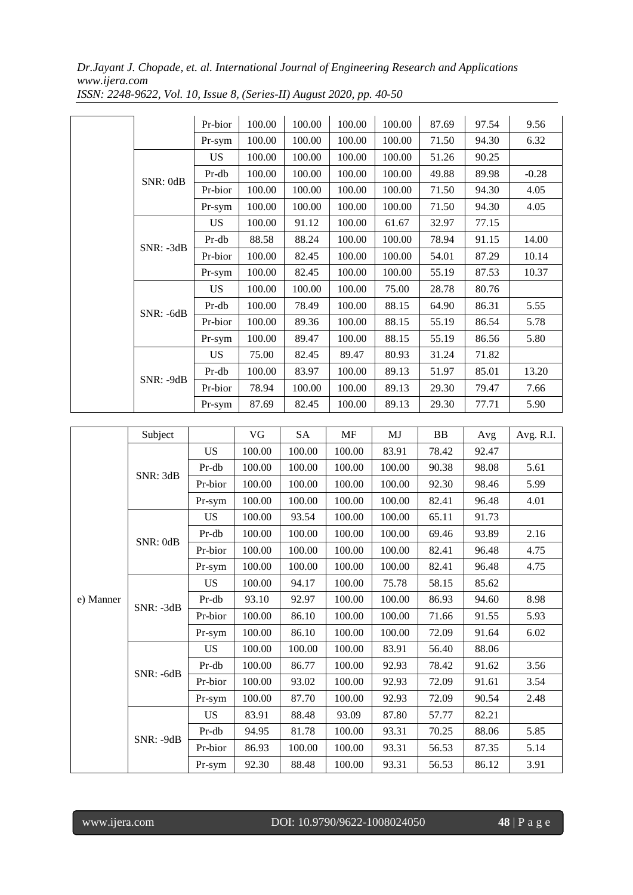|           |             | Pr-bior | 100.00 | 100.00 | 100.00 | 100.00 | 87.69 | 97.54 | 9.56    |
|-----------|-------------|---------|--------|--------|--------|--------|-------|-------|---------|
|           |             | Pr-sym  | 100.00 | 100.00 | 100.00 | 100.00 | 71.50 | 94.30 | 6.32    |
|           |             | US.     | 100.00 | 100.00 | 100.00 | 100.00 | 51.26 | 90.25 |         |
|           | SNR: 0dB    | Pr-db   | 100.00 | 100.00 | 100.00 | 100.00 | 49.88 | 89.98 | $-0.28$ |
|           |             | Pr-bior | 100.00 | 100.00 | 100.00 | 100.00 | 71.50 | 94.30 | 4.05    |
|           |             | Pr-sym  | 100.00 | 100.00 | 100.00 | 100.00 | 71.50 | 94.30 | 4.05    |
|           |             | US.     | 100.00 | 91.12  | 100.00 | 61.67  | 32.97 | 77.15 |         |
|           |             | Pr-db   | 88.58  | 88.24  | 100.00 | 100.00 | 78.94 | 91.15 | 14.00   |
|           | $SNR: -3dB$ | Pr-bior | 100.00 | 82.45  | 100.00 | 100.00 | 54.01 | 87.29 | 10.14   |
|           |             | Pr-sym  | 100.00 | 82.45  | 100.00 | 100.00 | 55.19 | 87.53 | 10.37   |
|           |             | US.     | 100.00 | 100.00 | 100.00 | 75.00  | 28.78 | 80.76 |         |
|           | SNR: -6dB   | Pr-db   | 100.00 | 78.49  | 100.00 | 88.15  | 64.90 | 86.31 | 5.55    |
|           |             | Pr-bior | 100.00 | 89.36  | 100.00 | 88.15  | 55.19 | 86.54 | 5.78    |
|           |             | Pr-sym  | 100.00 | 89.47  | 100.00 | 88.15  | 55.19 | 86.56 | 5.80    |
| SNR: -9dB |             | US.     | 75.00  | 82.45  | 89.47  | 80.93  | 31.24 | 71.82 |         |
|           |             | Pr-db   | 100.00 | 83.97  | 100.00 | 89.13  | 51.97 | 85.01 | 13.20   |
|           |             | Pr-bior | 78.94  | 100.00 | 100.00 | 89.13  | 29.30 | 79.47 | 7.66    |
|           |             | Pr-sym  | 87.69  | 82.45  | 100.00 | 89.13  | 29.30 | 77.71 | 5.90    |

*ISSN: 2248-9622, Vol. 10, Issue 8, (Series-II) August 2020, pp. 40-50*

|           | Subject     |           | VG     | <b>SA</b> | <b>MF</b> | MJ     | <b>BB</b> | Avg   | Avg. R.I. |
|-----------|-------------|-----------|--------|-----------|-----------|--------|-----------|-------|-----------|
|           |             | <b>US</b> | 100.00 | 100.00    | 100.00    | 83.91  | 78.42     | 92.47 |           |
|           | SNR: 3dB    | Pr-db     | 100.00 | 100.00    | 100.00    | 100.00 | 90.38     | 98.08 | 5.61      |
|           |             | Pr-bior   | 100.00 | 100.00    | 100.00    | 100.00 | 92.30     | 98.46 | 5.99      |
|           |             | Pr-sym    | 100.00 | 100.00    | 100.00    | 100.00 | 82.41     | 96.48 | 4.01      |
|           |             | <b>US</b> | 100.00 | 93.54     | 100.00    | 100.00 | 65.11     | 91.73 |           |
|           | SNR: 0dB    | Pr-db     | 100.00 | 100.00    | 100.00    | 100.00 | 69.46     | 93.89 | 2.16      |
|           |             | Pr-bior   | 100.00 | 100.00    | 100.00    | 100.00 | 82.41     | 96.48 | 4.75      |
|           |             | Pr-sym    | 100.00 | 100.00    | 100.00    | 100.00 | 82.41     | 96.48 | 4.75      |
|           | SNR: -3dB   | <b>US</b> | 100.00 | 94.17     | 100.00    | 75.78  | 58.15     | 85.62 |           |
| e) Manner |             | Pr-db     | 93.10  | 92.97     | 100.00    | 100.00 | 86.93     | 94.60 | 8.98      |
|           |             | Pr-bior   | 100.00 | 86.10     | 100.00    | 100.00 | 71.66     | 91.55 | 5.93      |
|           |             | Pr-sym    | 100.00 | 86.10     | 100.00    | 100.00 | 72.09     | 91.64 | 6.02      |
|           |             | <b>US</b> | 100.00 | 100.00    | 100.00    | 83.91  | 56.40     | 88.06 |           |
|           | $SNR: -6dB$ | Pr-db     | 100.00 | 86.77     | 100.00    | 92.93  | 78.42     | 91.62 | 3.56      |
|           |             | Pr-bior   | 100.00 | 93.02     | 100.00    | 92.93  | 72.09     | 91.61 | 3.54      |
|           |             | Pr-sym    | 100.00 | 87.70     | 100.00    | 92.93  | 72.09     | 90.54 | 2.48      |
|           |             | <b>US</b> | 83.91  | 88.48     | 93.09     | 87.80  | 57.77     | 82.21 |           |
|           | SNR: -9dB   | Pr-db     | 94.95  | 81.78     | 100.00    | 93.31  | 70.25     | 88.06 | 5.85      |
|           |             | Pr-bior   | 86.93  | 100.00    | 100.00    | 93.31  | 56.53     | 87.35 | 5.14      |
|           |             | Pr-sym    | 92.30  | 88.48     | 100.00    | 93.31  | 56.53     | 86.12 | 3.91      |

I

www.ijera.com DOI: 10.9790/9622-1008024050 **48** | P a g e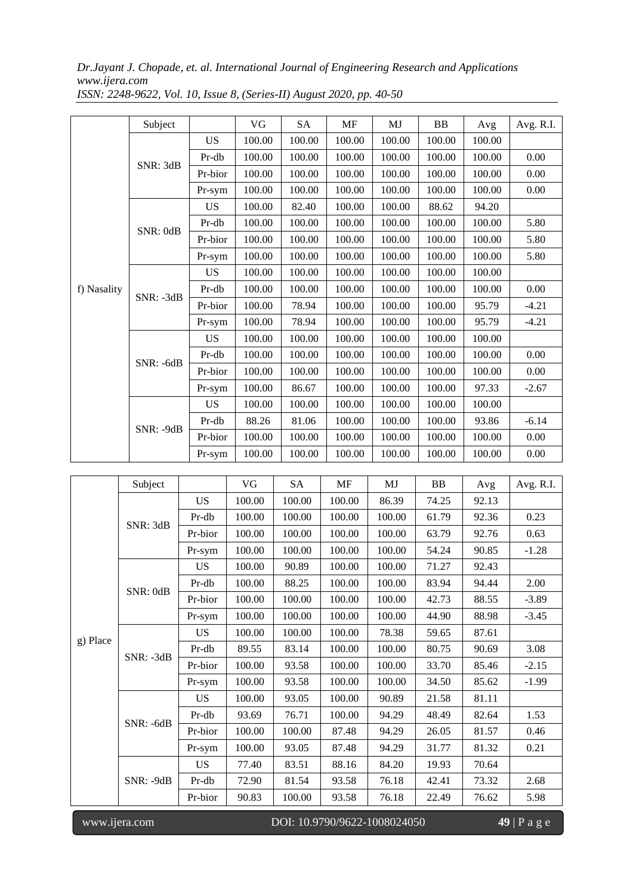| f) Nasality | Subject     |           | <b>VG</b> | <b>SA</b> | <b>MF</b> | MJ     | <b>BB</b> | Avg    | Avg. R.I. |
|-------------|-------------|-----------|-----------|-----------|-----------|--------|-----------|--------|-----------|
|             | SNR: 3dB    | <b>US</b> | 100.00    | 100.00    | 100.00    | 100.00 | 100.00    | 100.00 |           |
|             |             | Pr-db     | 100.00    | 100.00    | 100.00    | 100.00 | 100.00    | 100.00 | 0.00      |
|             |             | Pr-bior   | 100.00    | 100.00    | 100.00    | 100.00 | 100.00    | 100.00 | 0.00      |
|             |             | Pr-sym    | 100.00    | 100.00    | 100.00    | 100.00 | 100.00    | 100.00 | 0.00      |
|             | SNR: 0dB    | <b>US</b> | 100.00    | 82.40     | 100.00    | 100.00 | 88.62     | 94.20  |           |
|             |             | Pr-db     | 100.00    | 100.00    | 100.00    | 100.00 | 100.00    | 100.00 | 5.80      |
|             |             | Pr-bior   | 100.00    | 100.00    | 100.00    | 100.00 | 100.00    | 100.00 | 5.80      |
|             |             | Pr-sym    | 100.00    | 100.00    | 100.00    | 100.00 | 100.00    | 100.00 | 5.80      |
|             | $SNR: -3dB$ | <b>US</b> | 100.00    | 100.00    | 100.00    | 100.00 | 100.00    | 100.00 |           |
|             |             | Pr-db     | 100.00    | 100.00    | 100.00    | 100.00 | 100.00    | 100.00 | 0.00      |
|             |             | Pr-bior   | 100.00    | 78.94     | 100.00    | 100.00 | 100.00    | 95.79  | $-4.21$   |
|             |             | Pr-sym    | 100.00    | 78.94     | 100.00    | 100.00 | 100.00    | 95.79  | $-4.21$   |
|             | $SNR: -6dB$ | <b>US</b> | 100.00    | 100.00    | 100.00    | 100.00 | 100.00    | 100.00 |           |
|             |             | Pr-db     | 100.00    | 100.00    | 100.00    | 100.00 | 100.00    | 100.00 | 0.00      |
|             |             | Pr-bior   | 100.00    | 100.00    | 100.00    | 100.00 | 100.00    | 100.00 | 0.00      |
|             |             | Pr-sym    | 100.00    | 86.67     | 100.00    | 100.00 | 100.00    | 97.33  | $-2.67$   |
|             | $SNR: -9dB$ | <b>US</b> | 100.00    | 100.00    | 100.00    | 100.00 | 100.00    | 100.00 |           |
|             |             | Pr-db     | 88.26     | 81.06     | 100.00    | 100.00 | 100.00    | 93.86  | $-6.14$   |
|             |             | Pr-bior   | 100.00    | 100.00    | 100.00    | 100.00 | 100.00    | 100.00 | 0.00      |
|             |             | Pr-sym    | 100.00    | 100.00    | 100.00    | 100.00 | 100.00    | 100.00 | 0.00      |

*ISSN: 2248-9622, Vol. 10, Issue 8, (Series-II) August 2020, pp. 40-50*

|          | Subject     |           | VG     | SA     | MF     | MJ     | BB    | Avg   | Avg. R.I. |
|----------|-------------|-----------|--------|--------|--------|--------|-------|-------|-----------|
|          | SNR: 3dB    | <b>US</b> | 100.00 | 100.00 | 100.00 | 86.39  | 74.25 | 92.13 |           |
|          |             | Pr-db     | 100.00 | 100.00 | 100.00 | 100.00 | 61.79 | 92.36 | 0.23      |
|          |             | Pr-bior   | 100.00 | 100.00 | 100.00 | 100.00 | 63.79 | 92.76 | 0.63      |
|          |             | Pr-sym    | 100.00 | 100.00 | 100.00 | 100.00 | 54.24 | 90.85 | $-1.28$   |
|          | SNR: 0dB    | <b>US</b> | 100.00 | 90.89  | 100.00 | 100.00 | 71.27 | 92.43 |           |
|          |             | Pr-db     | 100.00 | 88.25  | 100.00 | 100.00 | 83.94 | 94.44 | 2.00      |
|          |             | Pr-bior   | 100.00 | 100.00 | 100.00 | 100.00 | 42.73 | 88.55 | $-3.89$   |
|          |             | Pr-sym    | 100.00 | 100.00 | 100.00 | 100.00 | 44.90 | 88.98 | $-3.45$   |
|          |             | <b>US</b> | 100.00 | 100.00 | 100.00 | 78.38  | 59.65 | 87.61 |           |
| g) Place | SNR: -3dB   | Pr-db     | 89.55  | 83.14  | 100.00 | 100.00 | 80.75 | 90.69 | 3.08      |
|          |             | Pr-bior   | 100.00 | 93.58  | 100.00 | 100.00 | 33.70 | 85.46 | $-2.15$   |
|          |             | Pr-sym    | 100.00 | 93.58  | 100.00 | 100.00 | 34.50 | 85.62 | $-1.99$   |
|          | SNR: -6dB   | <b>US</b> | 100.00 | 93.05  | 100.00 | 90.89  | 21.58 | 81.11 |           |
|          |             | Pr-db     | 93.69  | 76.71  | 100.00 | 94.29  | 48.49 | 82.64 | 1.53      |
|          |             | Pr-bior   | 100.00 | 100.00 | 87.48  | 94.29  | 26.05 | 81.57 | 0.46      |
|          |             | Pr-sym    | 100.00 | 93.05  | 87.48  | 94.29  | 31.77 | 81.32 | 0.21      |
|          | $SNR: -9dB$ | <b>US</b> | 77.40  | 83.51  | 88.16  | 84.20  | 19.93 | 70.64 |           |
|          |             | Pr-db     | 72.90  | 81.54  | 93.58  | 76.18  | 42.41 | 73.32 | 2.68      |
|          |             | Pr-bior   | 90.83  | 100.00 | 93.58  | 76.18  | 22.49 | 76.62 | 5.98      |

I

www.ijera.com DOI: 10.9790/9622-1008024050 **49** | P a g e